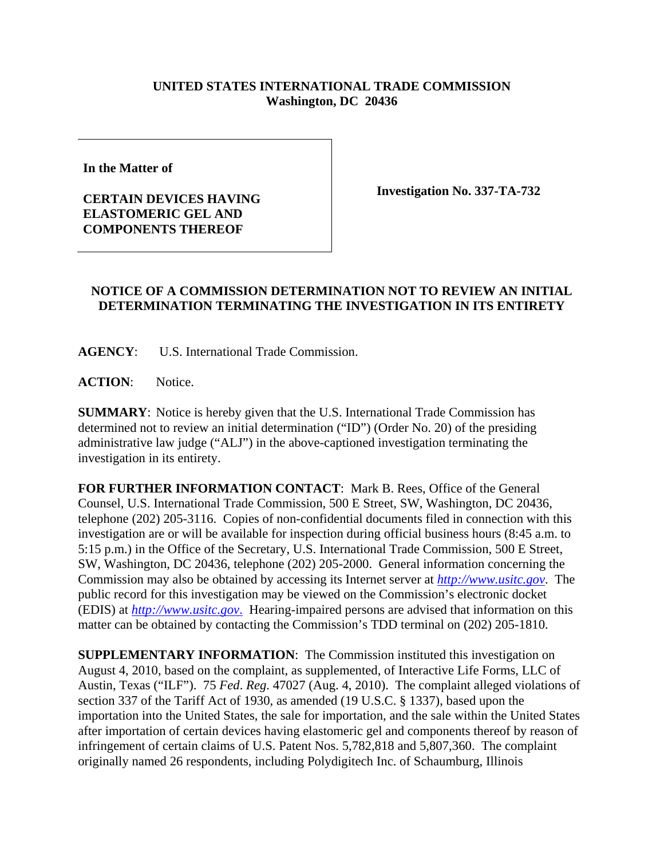## **UNITED STATES INTERNATIONAL TRADE COMMISSION Washington, DC 20436**

**In the Matter of** 

**CERTAIN DEVICES HAVING ELASTOMERIC GEL AND COMPONENTS THEREOF** 

**Investigation No. 337-TA-732** 

## **NOTICE OF A COMMISSION DETERMINATION NOT TO REVIEW AN INITIAL DETERMINATION TERMINATING THE INVESTIGATION IN ITS ENTIRETY**

**AGENCY**: U.S. International Trade Commission.

ACTION: Notice.

**SUMMARY**: Notice is hereby given that the U.S. International Trade Commission has determined not to review an initial determination ("ID") (Order No. 20) of the presiding administrative law judge ("ALJ") in the above-captioned investigation terminating the investigation in its entirety.

**FOR FURTHER INFORMATION CONTACT**:Mark B. Rees, Office of the General Counsel, U.S. International Trade Commission, 500 E Street, SW, Washington, DC 20436, telephone (202) 205-3116. Copies of non-confidential documents filed in connection with this investigation are or will be available for inspection during official business hours (8:45 a.m. to 5:15 p.m.) in the Office of the Secretary, U.S. International Trade Commission, 500 E Street, SW, Washington, DC 20436, telephone (202) 205-2000. General information concerning the Commission may also be obtained by accessing its Internet server at *http://www.usitc.gov*. The public record for this investigation may be viewed on the Commission's electronic docket (EDIS) at *http://www.usitc.gov*.Hearing-impaired persons are advised that information on this matter can be obtained by contacting the Commission's TDD terminal on (202) 205-1810.

**SUPPLEMENTARY INFORMATION**: The Commission instituted this investigation on August 4, 2010, based on the complaint, as supplemented, of Interactive Life Forms, LLC of Austin, Texas ("ILF"). 75 *Fed*. *Reg*. 47027 (Aug. 4, 2010). The complaint alleged violations of section 337 of the Tariff Act of 1930, as amended (19 U.S.C. § 1337), based upon the importation into the United States, the sale for importation, and the sale within the United States after importation of certain devices having elastomeric gel and components thereof by reason of infringement of certain claims of U.S. Patent Nos. 5,782,818 and 5,807,360. The complaint originally named 26 respondents, including Polydigitech Inc. of Schaumburg, Illinois